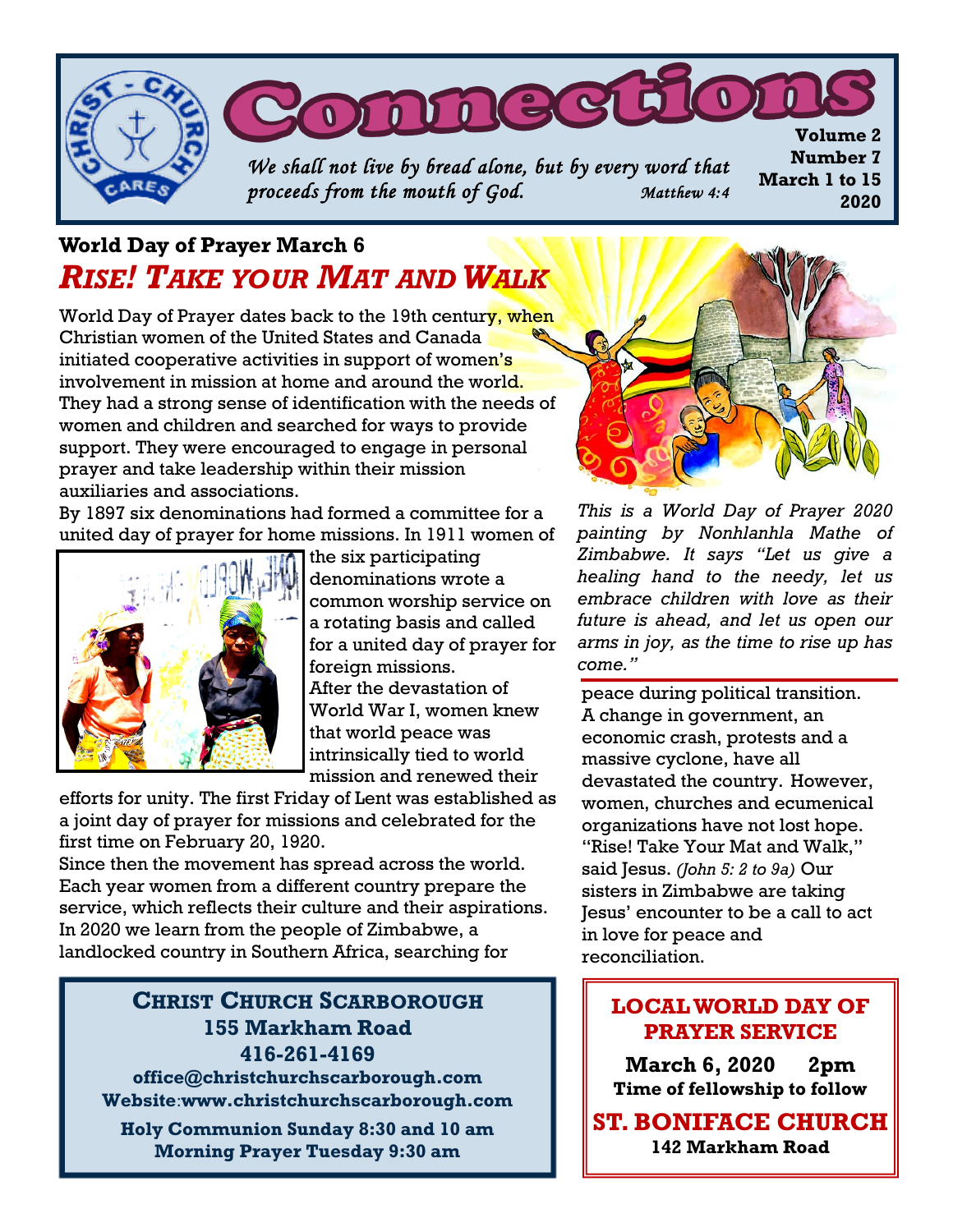

# **World Day of Prayer March 6** *RISE! TAKE YOUR MAT AND WALK*

World Day of Prayer dates back to the 19th century, when Christian women of the United States and Canada initiated cooperative activities in support of women's involvement in mission at home and around the world. They had a strong sense of identification with the needs of women and children and searched for ways to provide support. They were encouraged to engage in personal prayer and take leadership within their mission auxiliaries and associations.

By 1897 six denominations had formed a committee for a united day of prayer for home missions. In 1911 women of



the six participating denominations wrote a common worship service on a rotating basis and called for a united day of prayer for foreign missions. After the devastation of World War I, women knew that world peace was intrinsically tied to world mission and renewed their

efforts for unity. The first Friday of Lent was established as a joint day of prayer for missions and celebrated for the first time on February 20, 1920.

Since then the movement has spread across the world. Each year women from a different country prepare the service, which reflects their culture and their aspirations. In 2020 we learn from the people of Zimbabwe, a landlocked country in Southern Africa, searching for

#### **CHRIST CHURCH SCARBOROUGH 155 Markham Road 416-261-4169**

**office@christchurchscarborough.com Website**:**www.christchurchscarborough.com**

**Holy Communion Sunday 8:30 and 10 am Morning Prayer Tuesday 9:30 am**



*This is a World Day of Prayer 2020 painting by Nonhlanhla Mathe of Zimbabwe. It says "Let us give a healing hand to the needy, let us embrace children with love as their future is ahead, and let us open our arms in joy, as the time to rise up has come."*

peace during political transition. A change in government, an economic crash, protests and a massive cyclone, have all devastated the country. However, women, churches and ecumenical organizations have not lost hope. "Rise! Take Your Mat and Walk," said Jesus. *(John 5: 2 to 9a)* Our sisters in Zimbabwe are taking Jesus' encounter to be a call to act in love for peace and reconciliation.

## **LOCAL WORLD DAY OF PRAYER SERVICE**

**March 6, 2020 2pm Time of fellowship to follow**

**ST. BONIFACE CHURCH 142 Markham Road**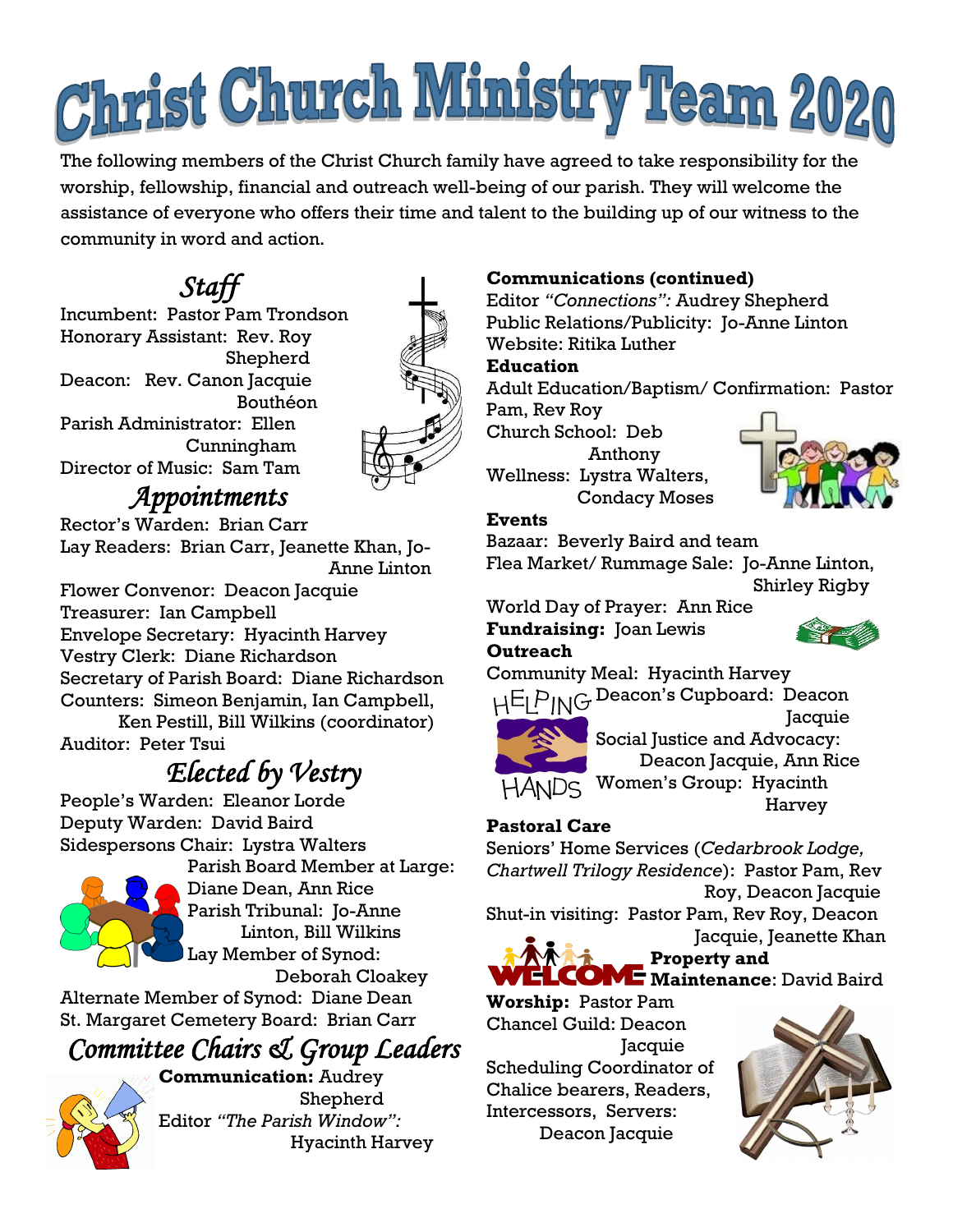# Christ Church Ministry Team 2020

The following members of the Christ Church family have agreed to take responsibility for the worship, fellowship, financial and outreach well-being of our parish. They will welcome the assistance of everyone who offers their time and talent to the building up of our witness to the community in word and action.

# *Staff*

Incumbent: Pastor Pam Trondson Honorary Assistant: Rev. Roy Shepherd Deacon: Rev. Canon Jacquie Bouthéon Parish Administrator: Ellen Cunningham Director of Music: Sam Tam



# *Appointments*

Rector's Warden: Brian Carr Lay Readers: Brian Carr, Jeanette Khan, Jo- Anne Linton

Flower Convenor: Deacon Jacquie Treasurer: Ian Campbell Envelope Secretary: Hyacinth Harvey Vestry Clerk: Diane Richardson Secretary of Parish Board: Diane Richardson Counters: Simeon Benjamin, Ian Campbell,

 Ken Pestill, Bill Wilkins (coordinator) Auditor: Peter Tsui

# *Elected by Vestry*

People's Warden: Eleanor Lorde Deputy Warden: David Baird Sidespersons Chair: Lystra Walters



Parish Board Member at Large: Diane Dean, Ann Rice Parish Tribunal: Jo-Anne Linton, Bill Wilkins Lay Member of Synod: Deborah Cloakey

Alternate Member of Synod: Diane Dean St. Margaret Cemetery Board: Brian Carr

# *Committee Chairs & Group Leaders*

**Communication:** Audrey Shepherd Editor *"The Parish Window":*  Hyacinth Harvey

## **Communications (continued)**

Editor *"Connections":* Audrey Shepherd Public Relations/Publicity: Jo-Anne Linton Website: Ritika Luther

#### **Education**

Adult Education/Baptism/ Confirmation: Pastor Pam, Rev Roy

Church School: Deb Anthony Wellness: Lystra Walters, Condacy Moses



#### **Events**

Bazaar: Beverly Baird and team

Flea Market/ Rummage Sale: Jo-Anne Linton, Shirley Rigby

World Day of Prayer: Ann Rice **Fundraising:** Joan Lewis

**Outreach** 

Community Meal: Hyacinth Harvey

H<sup>E</sup>LPING Deacon's Cupboard: Deacon



**Jacquie** Social Justice and Advocacy:

Deacon Jacquie, Ann Rice HANDS Women's Group: Hyacinth

Harvey

### **Pastoral Care**

Seniors' Home Services (*Cedarbrook Lodge, Chartwell Trilogy Residence*): Pastor Pam, Rev Roy, Deacon Jacquie

Shut-in visiting: Pastor Pam, Rev Roy, Deacon Jacquie, Jeanette Khan



**Property and** 

**WELCOME** Maintenance: David Baird

**Worship:** Pastor Pam Chancel Guild: Deacon **Jacquie** Scheduling Coordinator of Chalice bearers, Readers, Intercessors, Servers: Deacon Jacquie

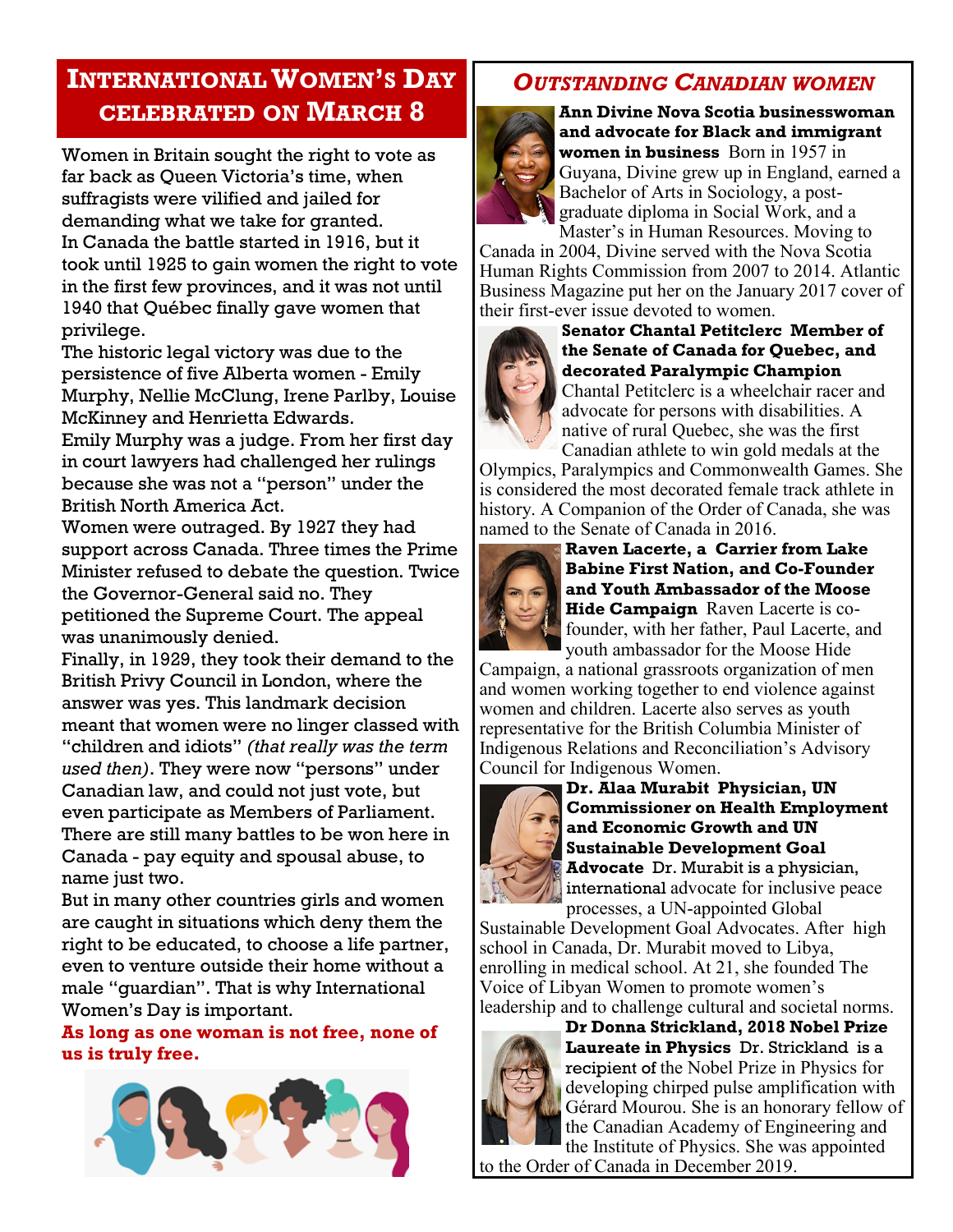## **INTERNATIONALWOMEN'S DAY CELEBRATED ON MARCH 8**

Women in Britain sought the right to vote as far back as Queen Victoria's time, when suffragists were vilified and jailed for demanding what we take for granted. In Canada the battle started in 1916, but it took until 1925 to gain women the right to vote in the first few provinces, and it was not until 1940 that Québec finally gave women that privilege.

The historic legal victory was due to the persistence of five Alberta women - Emily Murphy, Nellie McClung, Irene Parlby, Louise McKinney and Henrietta Edwards.

Emily Murphy was a judge. From her first day in court lawyers had challenged her rulings because she was not a "person" under the British North America Act.

Women were outraged. By 1927 they had support across Canada. Three times the Prime Minister refused to debate the question. Twice the Governor-General said no. They petitioned the Supreme Court. The appeal was unanimously denied.

Finally, in 1929, they took their demand to the British Privy Council in London, where the answer was yes. This landmark decision meant that women were no linger classed with "children and idiots" *(that really was the term used then)*. They were now "persons" under Canadian law, and could not just vote, but even participate as Members of Parliament. There are still many battles to be won here in Canada - pay equity and spousal abuse, to name just two.

But in many other countries girls and women are caught in situations which deny them the right to be educated, to choose a life partner, even to venture outside their home without a male "guardian". That is why International Women's Day is important.

#### **As long as one woman is not free, none of us is truly free.**



## *OUTSTANDING CANADIAN WOMEN*



**Ann Divine Nova Scotia businesswoman and advocate for Black and immigrant women in business** Born in 1957 in Guyana, Divine grew up in England, earned a Bachelor of Arts in Sociology, a postgraduate diploma in Social Work, and a Master's in Human Resources. Moving to

Canada in 2004, Divine served with the Nova Scotia Human Rights Commission from 2007 to 2014. Atlantic Business Magazine put her on the January 2017 cover of their first-ever issue devoted to women.



**Senator Chantal Petitclerc Member of the Senate of Canada for Quebec, and decorated Paralympic Champion**  Chantal Petitclerc is a wheelchair racer and advocate for persons with disabilities. A native of rural Quebec, she was the first Canadian athlete to win gold medals at the

Olympics, Paralympics and Commonwealth Games. She is considered the most decorated female track athlete in history. A Companion of the Order of Canada, she was named to the Senate of Canada in 2016.



**Raven Lacerte, a Carrier from Lake Babine First Nation, and Co-Founder and Youth Ambassador of the Moose Hide Campaign** Raven Lacerte is cofounder, with her father, Paul Lacerte, and youth ambassador for the Moose Hide

Campaign, a national grassroots organization of men and women working together to end violence against women and children. Lacerte also serves as youth representative for the British Columbia Minister of Indigenous Relations and Reconciliation's Advisory Council for Indigenous Women.



**Dr. Alaa Murabit Physician, UN Commissioner on Health Employment and Economic Growth and UN Sustainable Development Goal Advocate** Dr. Murabit is a physician, international advocate for inclusive peace processes, a UN-appointed Global

Sustainable Development Goal Advocates. After high school in Canada, Dr. Murabit moved to Libya, enrolling in medical school. At 21, she founded The Voice of Libyan Women to promote women's leadership and to challenge cultural and societal norms.



**Dr Donna Strickland, 2018 Nobel Prize Laureate in Physics** Dr. Strickland is a recipient of the [Nobel Prize in Physics fo](https://uwaterloo.ca/stories/nobel-prize-winning-physics-professor-follows-her-gut)r developing [chirped pulse amplification](https://uwaterloo.ca/stories/nobel-prize-winning-physicist-helped-make-lasers-ubiquitous) with Gérard Mourou. She is an honorary fellow of the Canadian Academy of Engineering and the Institute of Physics. She was appointed to the Order of Canada in December 2019.